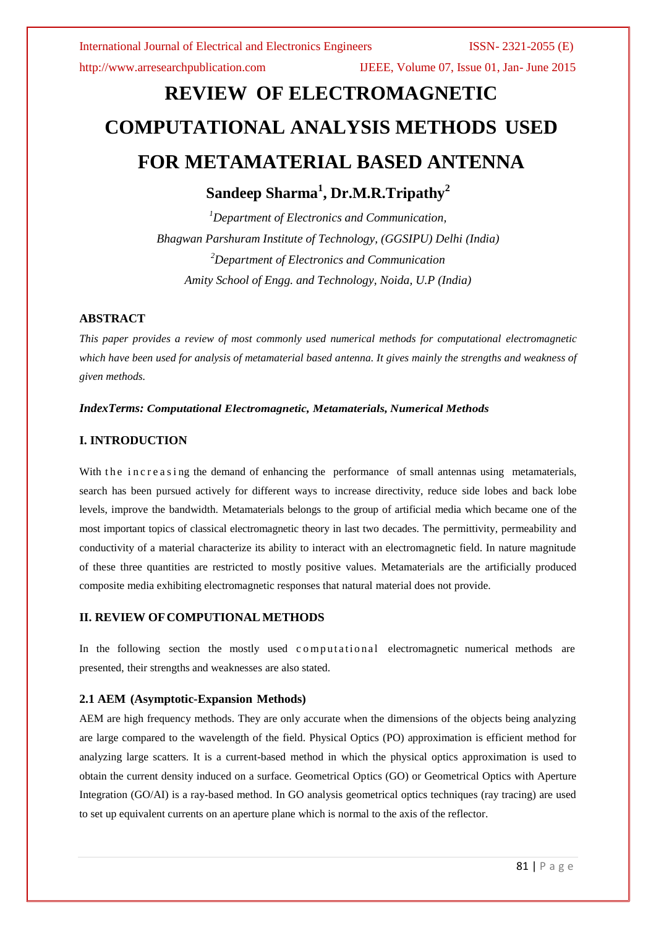http://www.arresearchpublication.com IJEEE, Volume 07, Issue 01, Jan- June 2015

# **REVIEW OF ELECTROMAGNETIC COMPUTATIONAL ANALYSIS METHODS USED FOR METAMATERIAL BASED ANTENNA**

# **Sandeep Sharma<sup>1</sup> , Dr.M.R.Tripathy<sup>2</sup>**

*<sup>1</sup>Department of Electronics and Communication, Bhagwan Parshuram Institute of Technology, (GGSIPU) Delhi (India) <sup>2</sup>Department of Electronics and Communication Amity School of Engg. and Technology, Noida, U.P (India)*

# **ABSTRACT**

*This paper provides a review of most commonly used numerical methods for computational electromagnetic which have been used for analysis of metamaterial based antenna. It gives mainly the strengths and weakness of given methods.*

# *IndexTerms: Computational Electromagnetic, Metamaterials, Numerical Methods*

# **I. INTRODUCTION**

With the increasing the demand of enhancing the performance of small antennas using metamaterials, search has been pursued actively for different ways to increase directivity, reduce side lobes and back lobe levels, improve the bandwidth. Metamaterials belongs to the group of artificial media which became one of the most important topics of classical electromagnetic theory in last two decades. The permittivity, permeability and conductivity of a material characterize its ability to interact with an electromagnetic field. In nature magnitude of these three quantities are restricted to mostly positive values. Metamaterials are the artificially produced composite media exhibiting electromagnetic responses that natural material does not provide.

# **II. REVIEW OFCOMPUTIONAL METHODS**

In the following section the mostly used computational electromagnetic numerical methods are presented, their strengths and weaknesses are also stated.

# **2.1 AEM (Asymptotic-Expansion Methods)**

AEM are high frequency methods. They are only accurate when the dimensions of the objects being analyzing are large compared to the wavelength of the field. Physical Optics (PO) approximation is efficient method for analyzing large scatters. It is a current-based method in which the physical optics approximation is used to obtain the current density induced on a surface. Geometrical Optics (GO) or Geometrical Optics with Aperture Integration (GO/AI) is a ray-based method. In GO analysis geometrical optics techniques (ray tracing) are used to set up equivalent currents on an aperture plane which is normal to the axis of the reflector.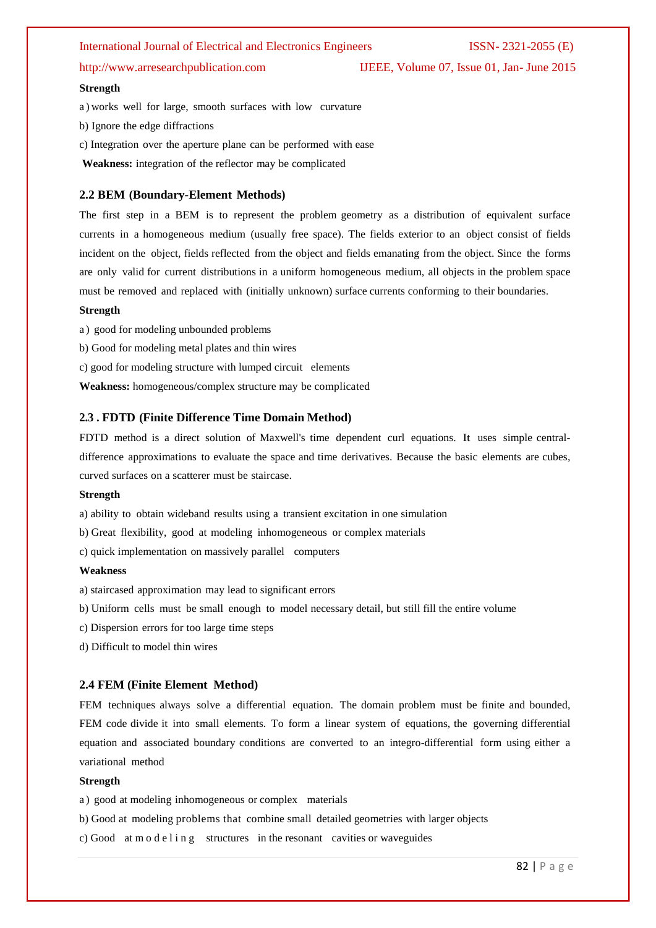# International Journal of Electrical and Electronics Engineers ISSN- 2321-2055 (E)

http://www.arresearchpublication.com IJEEE, Volume 07, Issue 01, Jan- June 2015

### **Strength**

a ) works well for large, smooth surfaces with low curvature

b) Ignore the edge diffractions

- c) Integration over the aperture plane can be performed with ease
- **Weakness:** integration of the reflector may be complicated

# **2.2 BEM (Boundary-Element Methods)**

The first step in a BEM is to represent the problem geometry as a distribution of equivalent surface currents in a homogeneous medium (usually free space). The fields exterior to an object consist of fields incident on the object, fields reflected from the object and fields emanating from the object. Since the forms are only valid for current distributions in a uniform homogeneous medium, all objects in the problem space must be removed and replaced with (initially unknown) surface currents conforming to their boundaries.

### **Strength**

a ) good for modeling unbounded problems

b) Good for modeling metal plates and thin wires

c) good for modeling structure with lumped circuit elements

**Weakness:** homogeneous/complex structure may be complicated

# **2.3 . FDTD (Finite Difference Time Domain Method)**

FDTD method is a direct solution of Maxwell's time dependent curl equations. It uses simple centraldifference approximations to evaluate the space and time derivatives. Because the basic elements are cubes, curved surfaces on a scatterer must be staircase.

### **Strength**

a) ability to obtain wideband results using a transient excitation in one simulation

b) Great flexibility, good at modeling inhomogeneous or complex materials

c) quick implementation on massively parallel computers

### **Weakness**

a) staircased approximation may lead to significant errors

b) Uniform cells must be small enough to model necessary detail, but still fill the entire volume

c) Dispersion errors for too large time steps

d) Difficult to model thin wires

### **2.4 FEM (Finite Element Method)**

FEM techniques always solve a differential equation. The domain problem must be finite and bounded, FEM code divide it into small elements. To form a linear system of equations, the governing differential equation and associated boundary conditions are converted to an integro-differential form using either a variational method

### **Strength**

a ) good at modeling inhomogeneous or complex materials

b) Good at modeling problems that combine small detailed geometries with larger objects

c) Good at m o d e l i n g structures in the resonant cavities or waveguides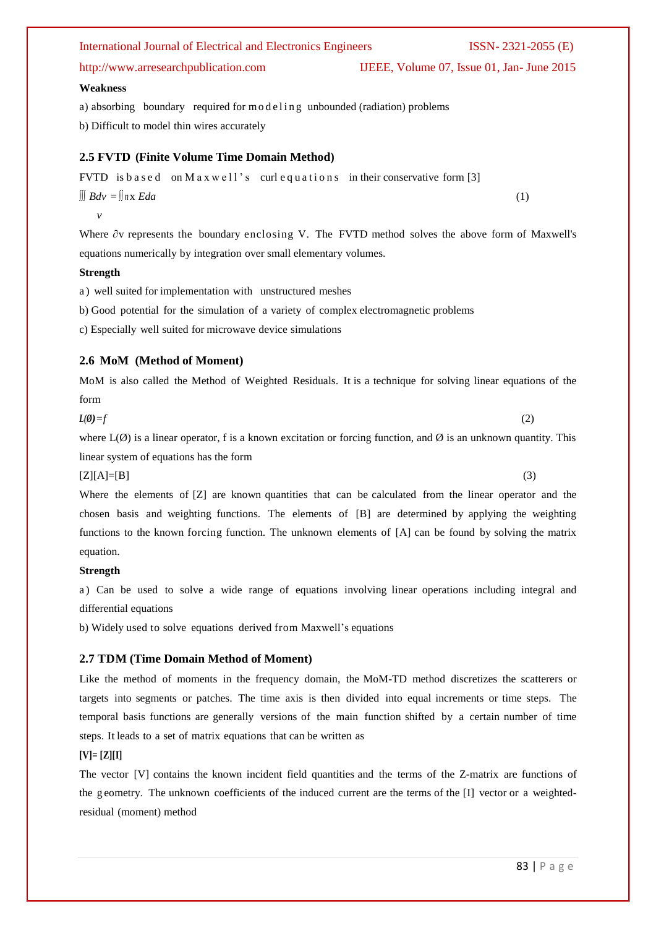# International Journal of Electrical and Electronics Engineers ISSN- 2321-2055 (E)

a) absorbing boundary required for modeling unbounded (radiation) problems

b) Difficult to model thin wires accurately

# **2.5 FVTD (Finite Volume Time Domain Method)**

```
FVTD is based on Maxwell's curl equations in their conservative form [3]
∫∫∫ Bdv = ∫∫ n x Eda (1)
```
 *v*

**Weakness**

Where ∂v represents the boundary enclosing V. The FVTD method solves the above form of Maxwell's equations numerically by integration over small elementary volumes.

# **Strength**

a ) well suited for implementation with unstructured meshes

b) Good potential for the simulation of a variety of complex electromagnetic problems

c) Especially well suited for microwave device simulations

# **2.6 MoM (Method of Moment)**

MoM is also called the Method of Weighted Residuals. It is a technique for solving linear equations of the form

$$
L(\emptyset) = f \tag{2}
$$

where  $L(\emptyset)$  is a linear operator, f is a known excitation or forcing function, and  $\emptyset$  is an unknown quantity. This linear system of equations has the form

 $[Z][A]=[B]$  (3)

Where the elements of [Z] are known quantities that can be calculated from the linear operator and the chosen basis and weighting functions. The elements of [B] are determined by applying the weighting functions to the known forcing function. The unknown elements of [A] can be found by solving the matrix equation.

# **Strength**

a ) Can be used to solve a wide range of equations involving linear operations including integral and differential equations

b) Widely used to solve equations derived from Maxwell's equations

# **2.7 TDM (Time Domain Method of Moment)**

Like the method of moments in the frequency domain, the MoM-TD method discretizes the scatterers or targets into segments or patches. The time axis is then divided into equal increments or time steps. The temporal basis functions are generally versions of the main function shifted by a certain number of time steps. It leads to a set of matrix equations that can be written as

# **[V]= [Z][I]**

The vector [V] contains the known incident field quantities and the terms of the Z-matrix are functions of the g eometry. The unknown coefficients of the induced current are the terms of the [I] vector or a weightedresidual (moment) method

http://www.arresearchpublication.com IJEEE, Volume 07, Issue 01, Jan- June 2015